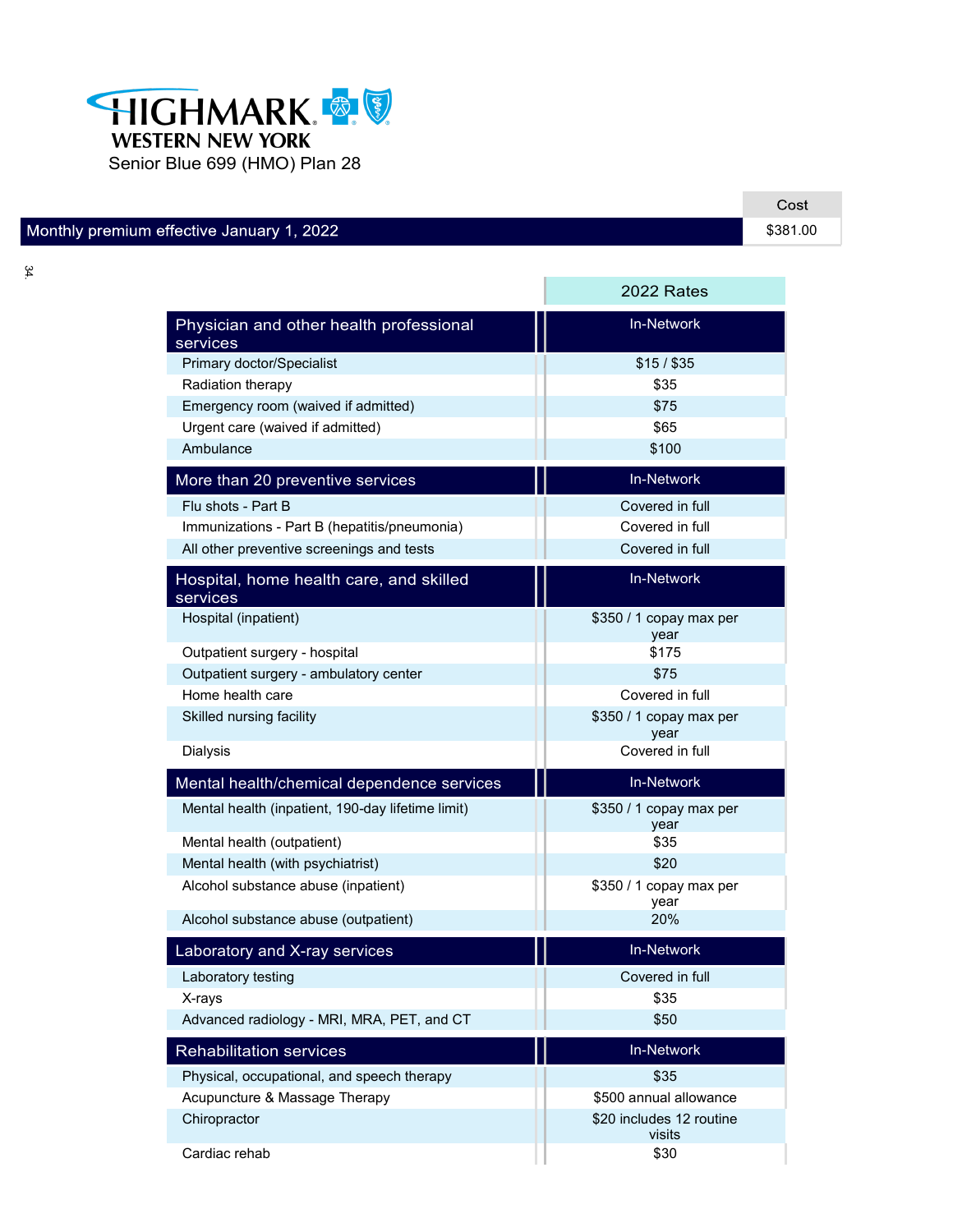

## Monthly premium effective January 1, 2022

34.

|                                                     | 2022 Rates                         |
|-----------------------------------------------------|------------------------------------|
| Physician and other health professional<br>services | <b>In-Network</b>                  |
| Primary doctor/Specialist                           | $$15/$ \$35                        |
| Radiation therapy                                   | \$35                               |
| Emergency room (waived if admitted)                 | \$75                               |
| Urgent care (waived if admitted)                    | \$65                               |
| Ambulance                                           | \$100                              |
| More than 20 preventive services                    | <b>In-Network</b>                  |
| Flu shots - Part B                                  | Covered in full                    |
| Immunizations - Part B (hepatitis/pneumonia)        | Covered in full                    |
| All other preventive screenings and tests           | Covered in full                    |
| Hospital, home health care, and skilled<br>services | In-Network                         |
| Hospital (inpatient)                                | \$350 / 1 copay max per<br>year    |
| Outpatient surgery - hospital                       | \$175                              |
| Outpatient surgery - ambulatory center              | \$75                               |
| Home health care                                    | Covered in full                    |
| Skilled nursing facility                            | \$350 / 1 copay max per<br>year    |
| <b>Dialysis</b>                                     | Covered in full                    |
| Mental health/chemical dependence services          | <b>In-Network</b>                  |
| Mental health (inpatient, 190-day lifetime limit)   | \$350 / 1 copay max per<br>year    |
| Mental health (outpatient)                          | \$35                               |
| Mental health (with psychiatrist)                   | \$20                               |
| Alcohol substance abuse (inpatient)                 | \$350 / 1 copay max per<br>year    |
| Alcohol substance abuse (outpatient)                | 20%                                |
| Laboratory and X-ray services                       | <b>In-Network</b>                  |
| Laboratory testing                                  | Covered in full                    |
| X-rays                                              | \$35                               |
| Advanced radiology - MRI, MRA, PET, and CT          | \$50                               |
| <b>Rehabilitation services</b>                      | In-Network                         |
| Physical, occupational, and speech therapy          | \$35                               |
| Acupuncture & Massage Therapy                       | \$500 annual allowance             |
| Chiropractor                                        | \$20 includes 12 routine<br>visits |
| Cardiac rehab                                       | \$30                               |